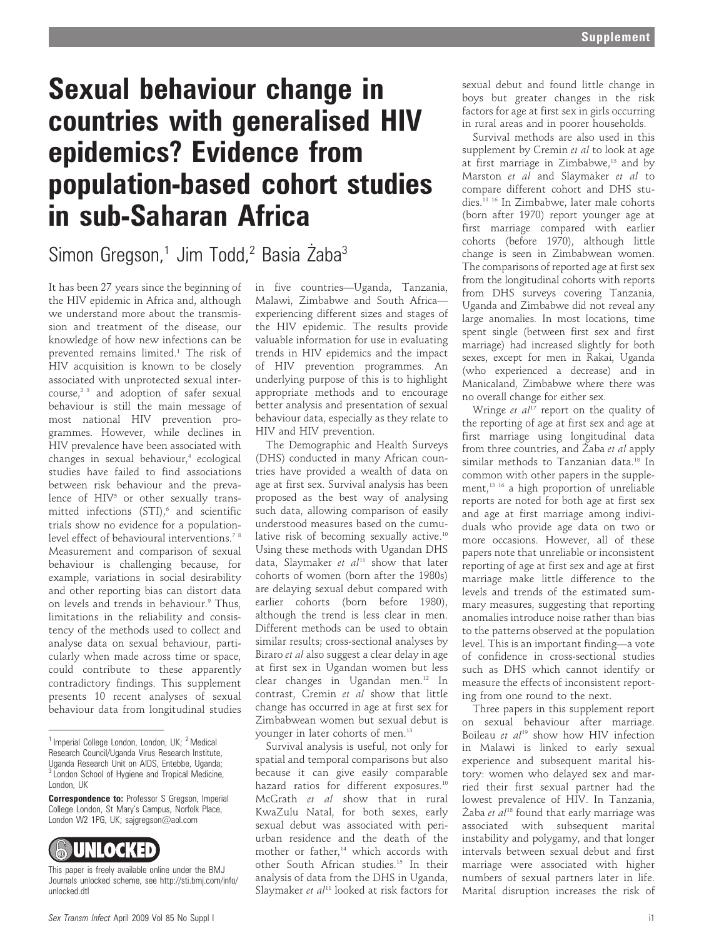## Sexual behaviour change in countries with generalised HIV epidemics? Evidence from population-based cohort studies in sub-Saharan Africa

Simon Gregson,<sup>1</sup> Jim Todd,<sup>2</sup> Basia Żaba<sup>3</sup>

It has been 27 years since the beginning of the HIV epidemic in Africa and, although we understand more about the transmission and treatment of the disease, our knowledge of how new infections can be prevented remains limited.<sup>1</sup> The risk of HIV acquisition is known to be closely associated with unprotected sexual intercourse, $2^3$  and adoption of safer sexual behaviour is still the main message of most national HIV prevention programmes. However, while declines in HIV prevalence have been associated with changes in sexual behaviour, $4$  ecological studies have failed to find associations between risk behaviour and the prevalence of HIV<sup>5</sup> or other sexually transmitted infections  $(STI),<sup>6</sup>$  and scientific trials show no evidence for a populationlevel effect of behavioural interventions.<sup>78</sup> Measurement and comparison of sexual behaviour is challenging because, for example, variations in social desirability and other reporting bias can distort data on levels and trends in behaviour.<sup>9</sup> Thus, limitations in the reliability and consistency of the methods used to collect and analyse data on sexual behaviour, particularly when made across time or space, could contribute to these apparently contradictory findings. This supplement presents 10 recent analyses of sexual behaviour data from longitudinal studies

**Correspondence to: Professor S Gregson, Imperial** College London, St Mary's Campus, Norfolk Place, London W2 1PG, UK; sajgregson@aol.com



This paper is freely available online under the BMJ Journals unlocked scheme, see http://sti.bmj.com/info/ unlocked.dtl

in five countries—Uganda, Tanzania, Malawi, Zimbabwe and South Africa experiencing different sizes and stages of the HIV epidemic. The results provide valuable information for use in evaluating trends in HIV epidemics and the impact of HIV prevention programmes. An underlying purpose of this is to highlight appropriate methods and to encourage better analysis and presentation of sexual behaviour data, especially as they relate to HIV and HIV prevention.

The Demographic and Health Surveys (DHS) conducted in many African countries have provided a wealth of data on age at first sex. Survival analysis has been proposed as the best way of analysing such data, allowing comparison of easily understood measures based on the cumulative risk of becoming sexually active.<sup>10</sup> Using these methods with Ugandan DHS data, Slaymaker et  $al<sup>11</sup>$  show that later cohorts of women (born after the 1980s) are delaying sexual debut compared with earlier cohorts (born before 1980), although the trend is less clear in men. Different methods can be used to obtain similar results; cross-sectional analyses by Biraro et al also suggest a clear delay in age at first sex in Ugandan women but less clear changes in Ugandan men.<sup>12</sup> In contrast, Cremin et al show that little change has occurred in age at first sex for Zimbabwean women but sexual debut is younger in later cohorts of men.<sup>13</sup>

Survival analysis is useful, not only for spatial and temporal comparisons but also because it can give easily comparable hazard ratios for different exposures.<sup>10</sup> McGrath et al show that in rural KwaZulu Natal, for both sexes, early sexual debut was associated with periurban residence and the death of the mother or father,<sup>14</sup> which accords with other South African studies.15 In their analysis of data from the DHS in Uganda, Slaymaker et  $al<sup>11</sup>$  looked at risk factors for

sexual debut and found little change in boys but greater changes in the risk factors for age at first sex in girls occurring in rural areas and in poorer households.

Survival methods are also used in this supplement by Cremin et al to look at age at first marriage in Zimbabwe,<sup>13</sup> and by Marston et al and Slaymaker et al to compare different cohort and DHS studies.<sup>11 16</sup> In Zimbabwe, later male cohorts (born after 1970) report younger age at first marriage compared with earlier cohorts (before 1970), although little change is seen in Zimbabwean women. The comparisons of reported age at first sex from the longitudinal cohorts with reports from DHS surveys covering Tanzania, Uganda and Zimbabwe did not reveal any large anomalies. In most locations, time spent single (between first sex and first marriage) had increased slightly for both sexes, except for men in Rakai, Uganda (who experienced a decrease) and in Manicaland, Zimbabwe where there was no overall change for either sex.

Wringe *et al*<sup>17</sup> report on the quality of the reporting of age at first sex and age at first marriage using longitudinal data from three countries, and Żaba et al apply similar methods to Tanzanian data.<sup>18</sup> In common with other papers in the supplement,<sup>13 16</sup> a high proportion of unreliable reports are noted for both age at first sex and age at first marriage among individuals who provide age data on two or more occasions. However, all of these papers note that unreliable or inconsistent reporting of age at first sex and age at first marriage make little difference to the levels and trends of the estimated summary measures, suggesting that reporting anomalies introduce noise rather than bias to the patterns observed at the population level. This is an important finding—a vote of confidence in cross-sectional studies such as DHS which cannot identify or measure the effects of inconsistent reporting from one round to the next.

Three papers in this supplement report on sexual behaviour after marriage. Boileau et  $al^{19}$  show how HIV infection in Malawi is linked to early sexual experience and subsequent marital history: women who delayed sex and married their first sexual partner had the lowest prevalence of HIV. In Tanzania, Żaba et al<sup>18</sup> found that early marriage was associated with subsequent marital instability and polygamy, and that longer intervals between sexual debut and first marriage were associated with higher numbers of sexual partners later in life. Marital disruption increases the risk of

 $1$  Imperial College London, London, UK;  $2$  Medical Research Council/Uganda Virus Research Institute, Uganda Research Unit on AIDS, Entebbe, Uganda; <sup>3</sup> London School of Hygiene and Tropical Medicine, London, UK